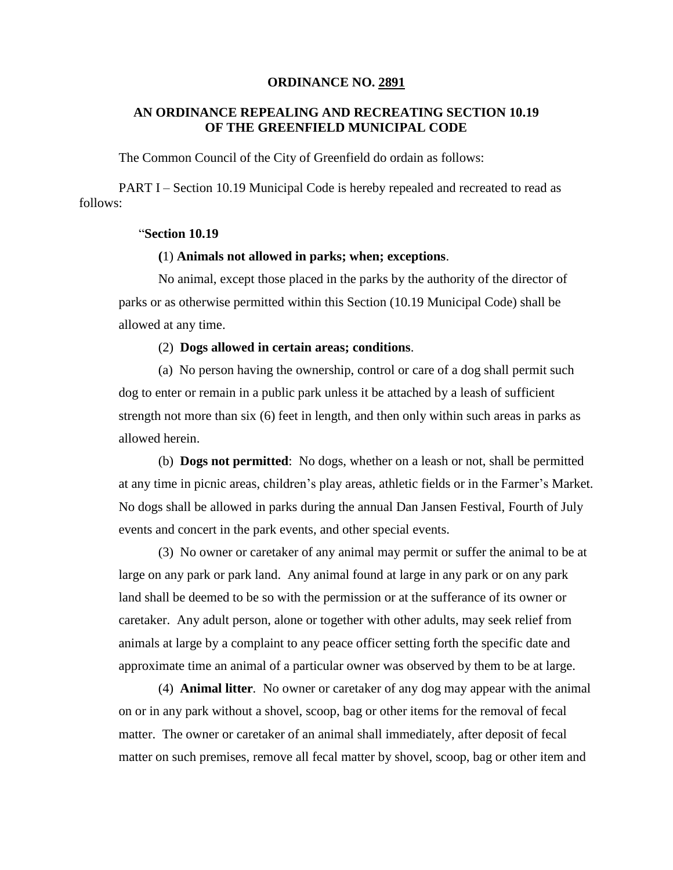### **ORDINANCE NO. 2891**

# **AN ORDINANCE REPEALING AND RECREATING SECTION 10.19 OF THE GREENFIELD MUNICIPAL CODE**

The Common Council of the City of Greenfield do ordain as follows:

PART I – Section 10.19 Municipal Code is hereby repealed and recreated to read as follows:

## "**Section 10.19**

# **(**1) **Animals not allowed in parks; when; exceptions**.

No animal, except those placed in the parks by the authority of the director of parks or as otherwise permitted within this Section (10.19 Municipal Code) shall be allowed at any time.

### (2) **Dogs allowed in certain areas; conditions**.

(a) No person having the ownership, control or care of a dog shall permit such dog to enter or remain in a public park unless it be attached by a leash of sufficient strength not more than six (6) feet in length, and then only within such areas in parks as allowed herein.

(b) **Dogs not permitted**: No dogs, whether on a leash or not, shall be permitted at any time in picnic areas, children's play areas, athletic fields or in the Farmer's Market. No dogs shall be allowed in parks during the annual Dan Jansen Festival, Fourth of July events and concert in the park events, and other special events.

(3) No owner or caretaker of any animal may permit or suffer the animal to be at large on any park or park land. Any animal found at large in any park or on any park land shall be deemed to be so with the permission or at the sufferance of its owner or caretaker. Any adult person, alone or together with other adults, may seek relief from animals at large by a complaint to any peace officer setting forth the specific date and approximate time an animal of a particular owner was observed by them to be at large.

(4) **Animal litter***.* No owner or caretaker of any dog may appear with the animal on or in any park without a shovel, scoop, bag or other items for the removal of fecal matter. The owner or caretaker of an animal shall immediately, after deposit of fecal matter on such premises, remove all fecal matter by shovel, scoop, bag or other item and